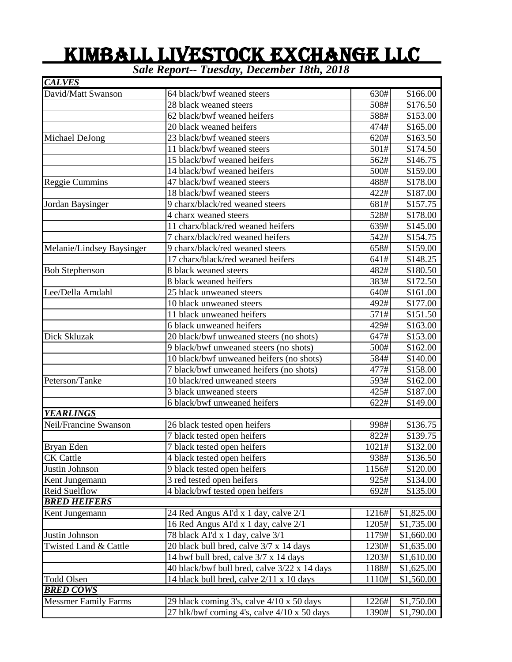## KIMBALL LIVESTOCK EXCHANGE LLC

*Sale Report-- Tuesday, December 18th, 2018*

| <b>CALVES</b>               |                                              |       |            |
|-----------------------------|----------------------------------------------|-------|------------|
| David/Matt Swanson          | 64 black/bwf weaned steers                   | 630#  | \$166.00   |
|                             | 28 black weaned steers                       | 508#  | \$176.50   |
|                             | 62 black/bwf weaned heifers                  | 588#  | \$153.00   |
|                             | 20 black weaned heifers                      | 474#  | \$165.00   |
| Michael DeJong              | 23 black/bwf weaned steers                   | 620#  | \$163.50   |
|                             | 11 black/bwf weaned steers                   | 501#  | \$174.50   |
|                             | 15 black/bwf weaned heifers                  | 562#  | \$146.75   |
|                             | 14 black/bwf weaned heifers                  | 500#  | \$159.00   |
| Reggie Cummins              | 47 black/bwf weaned steers                   | 488#  | \$178.00   |
|                             | 18 black/bwf weaned steers                   | 422#  | \$187.00   |
| Jordan Baysinger            | 9 charx/black/red weaned steers              | 681#  | \$157.75   |
|                             | 4 charx weaned steers                        | 528#  | \$178.00   |
|                             | 11 charx/black/red weaned heifers            | 639#  | \$145.00   |
|                             | 7 charx/black/red weaned heifers             | 542#  | \$154.75   |
| Melanie/Lindsey Baysinger   | 9 charx/black/red weaned steers              | 658#  | \$159.00   |
|                             | 17 charx/black/red weaned heifers            | 641#  | \$148.25   |
| <b>Bob Stephenson</b>       | 8 black weaned steers                        | 482#  | \$180.50   |
|                             | 8 black weaned heifers                       | 383#  | \$172.50   |
| Lee/Della Amdahl            | 25 black unweaned steers                     | 640#  | \$161.00   |
|                             | 10 black unweaned steers                     | 492#  | \$177.00   |
|                             | 11 black unweaned heifers                    | 571#  | \$151.50   |
|                             | 6 black unweaned heifers                     | 429#  | \$163.00   |
| Dick Skluzak                | 20 black/bwf unweaned steers (no shots)      | 647#  | \$153.00   |
|                             | 9 black/bwf unweaned steers (no shots)       | 500#  | \$162.00   |
|                             | 10 black/bwf unweaned heifers (no shots)     | 584#  | \$140.00   |
|                             | 7 black/bwf unweaned heifers (no shots)      | 477#  | \$158.00   |
| Peterson/Tanke              | 10 black/red unweaned steers                 | 593#  | \$162.00   |
|                             | 3 black unweaned steers                      | 425#  | \$187.00   |
|                             | 6 black/bwf unweaned heifers                 | 622#  | \$149.00   |
| <b>YEARLINGS</b>            |                                              |       |            |
| Neil/Francine Swanson       | 26 black tested open heifers                 | 998#  | \$136.75   |
|                             | 7 black tested open heifers                  | 822#  | \$139.75   |
| Bryan Eden                  | 7 black tested open heifers                  | 1021# | \$132.00   |
| <b>CK</b> Cattle            | 4 black tested open heifers                  | 938#  | \$136.50   |
| Justin Johnson              | 9 black tested open heifers                  | 1156# | \$120.00   |
| Kent Jungemann              | 3 red tested open heifers                    | 925#  | \$134.00   |
| Reid Suelflow               | 4 black/bwf tested open heifers              | 692#  | \$135.00   |
| <b>BRED HEIFERS</b>         |                                              |       |            |
| Kent Jungemann              | 24 Red Angus AI'd x 1 day, calve 2/1         | 1216# | \$1,825.00 |
|                             | 16 Red Angus AI'd x 1 day, calve 2/1         | 1205# | \$1,735.00 |
| Justin Johnson              | 78 black AI'd x 1 day, calve 3/1             | 1179# | \$1,660.00 |
| Twisted Land & Cattle       | 20 black bull bred, calve 3/7 x 14 days      | 1230# | \$1,635.00 |
|                             | 14 bwf bull bred, calve $3/7 \times 14$ days | 1203# | \$1,610.00 |
|                             | 40 black/bwf bull bred, calve 3/22 x 14 days | 1188# | \$1,625.00 |
| <b>Todd Olsen</b>           | 14 black bull bred, calve 2/11 x 10 days     | 1110# | \$1,560.00 |
| <b>BRED COWS</b>            |                                              |       |            |
| <b>Messmer Family Farms</b> | 29 black coming 3's, calve 4/10 x 50 days    | 1226# | \$1,750.00 |
|                             | 27 blk/bwf coming 4's, calve 4/10 x 50 days  | 1390# | \$1,790.00 |